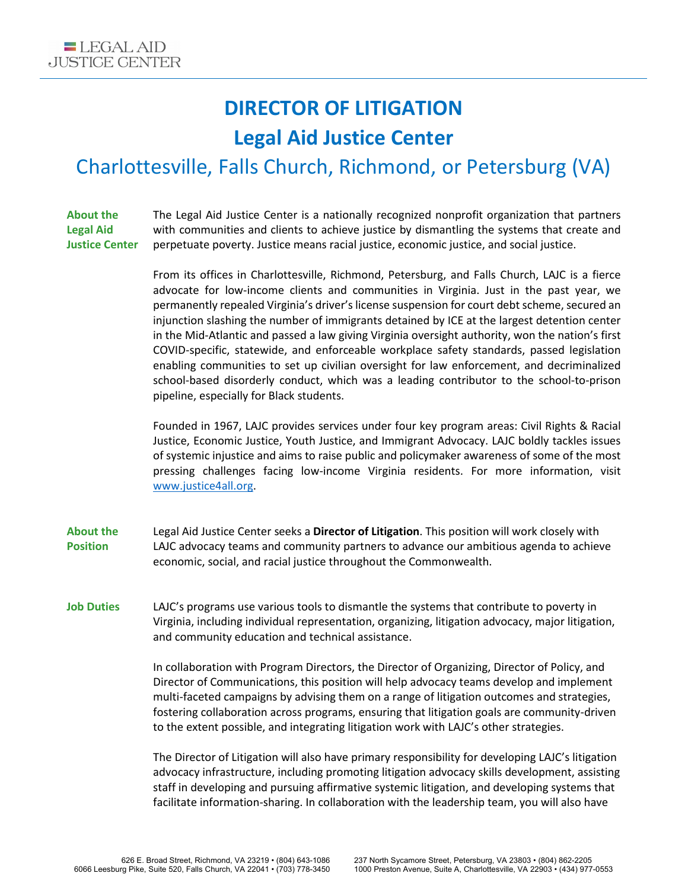## **DIRECTOR OF LITIGATION Legal Aid Justice Center**

## Charlottesville, Falls Church, Richmond, or Petersburg (VA)

**About the Legal Aid Justice Center** The Legal Aid Justice Center is a nationally recognized nonprofit organization that partners with communities and clients to achieve justice by dismantling the systems that create and perpetuate poverty. Justice means racial justice, economic justice, and social justice.

> From its offices in Charlottesville, Richmond, Petersburg, and Falls Church, LAJC is a fierce advocate for low-income clients and communities in Virginia. Just in the past year, we permanently repealed Virginia's driver's license suspension for court debt scheme, secured an injunction slashing the number of immigrants detained by ICE at the largest detention center in the Mid-Atlantic and passed a law giving Virginia oversight authority, won the nation's first COVID-specific, statewide, and enforceable workplace safety standards, passed legislation enabling communities to set up civilian oversight for law enforcement, and decriminalized school-based disorderly conduct, which was a leading contributor to the school-to-prison pipeline, especially for Black students.

> Founded in 1967, LAJC provides services under four key program areas: Civil Rights & Racial Justice, Economic Justice, Youth Justice, and Immigrant Advocacy. LAJC boldly tackles issues of systemic injustice and aims to raise public and policymaker awareness of some of the most pressing challenges facing low-income Virginia residents. For more information, visit [www.justice4all.org.](http://www.justice4all.org/)

**About the Position** Legal Aid Justice Center seeks a **Director of Litigation**. This position will work closely with LAJC advocacy teams and community partners to advance our ambitious agenda to achieve economic, social, and racial justice throughout the Commonwealth.

**Job Duties** LAJC's programs use various tools to dismantle the systems that contribute to poverty in Virginia, including individual representation, organizing, litigation advocacy, major litigation, and community education and technical assistance.

> In collaboration with Program Directors, the Director of Organizing, Director of Policy, and Director of Communications, this position will help advocacy teams develop and implement multi-faceted campaigns by advising them on a range of litigation outcomes and strategies, fostering collaboration across programs, ensuring that litigation goals are community-driven to the extent possible, and integrating litigation work with LAJC's other strategies.

> The Director of Litigation will also have primary responsibility for developing LAJC's litigation advocacy infrastructure, including promoting litigation advocacy skills development, assisting staff in developing and pursuing affirmative systemic litigation, and developing systems that facilitate information-sharing. In collaboration with the leadership team, you will also have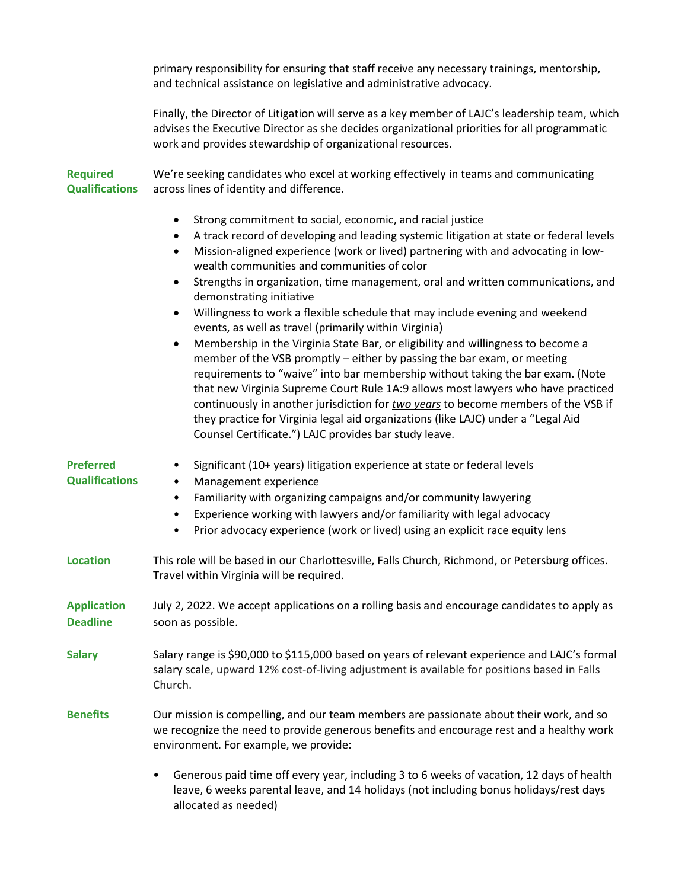primary responsibility for ensuring that staff receive any necessary trainings, mentorship, and technical assistance on legislative and administrative advocacy.

Finally, the Director of Litigation will serve as a key member of LAJC's leadership team, which advises the Executive Director as she decides organizational priorities for all programmatic work and provides stewardship of organizational resources.

**Required Qualifications** We're seeking candidates who excel at working effectively in teams and communicating across lines of identity and difference.

- Strong commitment to social, economic, and racial justice
- A track record of developing and leading systemic litigation at state or federal levels
- Mission-aligned experience (work or lived) partnering with and advocating in lowwealth communities and communities of color
- Strengths in organization, time management, oral and written communications, and demonstrating initiative
- Willingness to work a flexible schedule that may include evening and weekend events, as well as travel (primarily within Virginia)
- Membership in the Virginia State Bar, or eligibility and willingness to become a member of the VSB promptly – either by passing the bar exam, or meeting requirements to "waive" into bar membership without taking the bar exam. (Note that new Virginia Supreme Court Rule 1A:9 allows most lawyers who have practiced continuously in another jurisdiction for *two years* to become members of the VSB if they practice for Virginia legal aid organizations (like LAJC) under a "Legal Aid Counsel Certificate.") LAJC provides bar study leave.

| <b>Preferred</b><br><b>Qualifications</b> | Significant (10+ years) litigation experience at state or federal levels<br>Management experience<br>Familiarity with organizing campaigns and/or community lawyering<br>$\bullet$<br>Experience working with lawyers and/or familiarity with legal advocacy<br>$\bullet$<br>Prior advocacy experience (work or lived) using an explicit race equity lens<br>$\bullet$ |
|-------------------------------------------|------------------------------------------------------------------------------------------------------------------------------------------------------------------------------------------------------------------------------------------------------------------------------------------------------------------------------------------------------------------------|
| <b>Location</b>                           | This role will be based in our Charlottesville, Falls Church, Richmond, or Petersburg offices.<br>Travel within Virginia will be required.                                                                                                                                                                                                                             |
| <b>Application</b><br><b>Deadline</b>     | July 2, 2022. We accept applications on a rolling basis and encourage candidates to apply as<br>soon as possible.                                                                                                                                                                                                                                                      |
| <b>Salary</b>                             | Salary range is \$90,000 to \$115,000 based on years of relevant experience and LAJC's formal<br>salary scale, upward 12% cost-of-living adjustment is available for positions based in Falls<br>Church.                                                                                                                                                               |
| <b>Benefits</b>                           | Our mission is compelling, and our team members are passionate about their work, and so<br>we recognize the need to provide generous benefits and encourage rest and a healthy work<br>environment. For example, we provide:                                                                                                                                           |
|                                           | Generous paid time off every year, including 3 to 6 weeks of vacation, 12 days of health<br>$\bullet$<br>leave, 6 weeks parental leave, and 14 holidays (not including bonus holidays/rest days<br>allocated as needed)                                                                                                                                                |